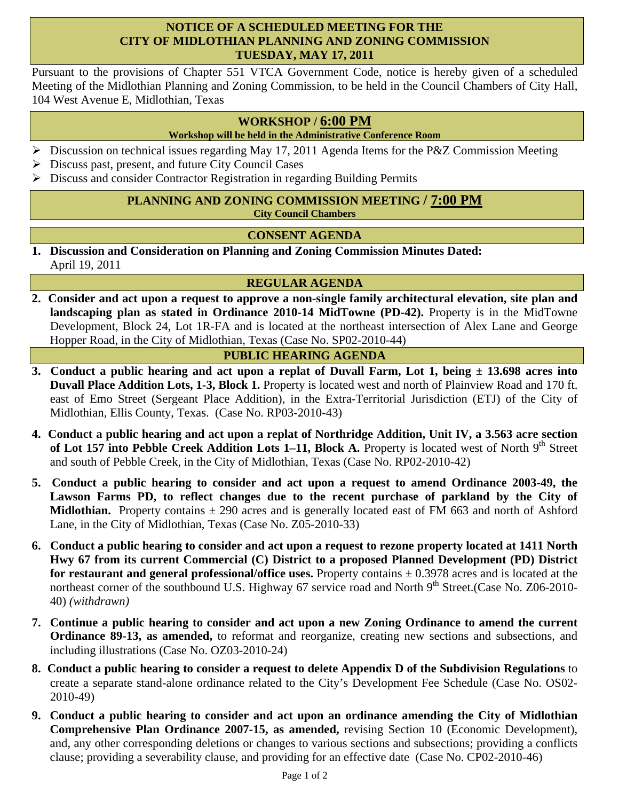## **NOTICE OF A SCHEDULED MEETING FOR THE CITY OF MIDLOTHIAN PLANNING AND ZONING COMMISSION TUESDAY, MAY 17, 2011**

Pursuant to the provisions of Chapter 551 VTCA Government Code, notice is hereby given of a scheduled Meeting of the Midlothian Planning and Zoning Commission, to be held in the Council Chambers of City Hall, 104 West Avenue E, Midlothian, Texas

# **WORKSHOP / 6:00 PM**

#### **Workshop will be held in the Administrative Conference Room**

- $\triangleright$  Discussion on technical issues regarding May 17, 2011 Agenda Items for the P&Z Commission Meeting
- $\triangleright$  Discuss past, present, and future City Council Cases
- Discuss and consider Contractor Registration in regarding Building Permits

#### **PLANNING AND ZONING COMMISSION MEETING / 7:00 PM City Council Chambers**

## **CONSENT AGENDA**

**1. Discussion and Consideration on Planning and Zoning Commission Minutes Dated:**  April 19, 2011

## **REGULAR AGENDA**

**2. Consider and act upon a request to approve a non-single family architectural elevation, site plan and landscaping plan as stated in Ordinance 2010-14 MidTowne (PD-42).** Property is in the MidTowne Development, Block 24, Lot 1R-FA and is located at the northeast intersection of Alex Lane and George Hopper Road, in the City of Midlothian, Texas (Case No. SP02-2010-44)

## **PUBLIC HEARING AGENDA**

- **3. Conduct a public hearing and act upon a replat of Duvall Farm, Lot 1, being ± 13.698 acres into Duvall Place Addition Lots, 1-3, Block 1.** Property is located west and north of Plainview Road and 170 ft. east of Emo Street (Sergeant Place Addition), in the Extra-Territorial Jurisdiction (ETJ) of the City of Midlothian, Ellis County, Texas. (Case No. RP03-2010-43)
- **4. Conduct a public hearing and act upon a replat of Northridge Addition, Unit IV, a 3.563 acre section**  of Lot 157 into Pebble Creek Addition Lots 1–11, Block A. Property is located west of North 9<sup>th</sup> Street and south of Pebble Creek, in the City of Midlothian, Texas (Case No. RP02-2010-42)
- **5. Conduct a public hearing to consider and act upon a request to amend Ordinance 2003-49, the**  Lawson Farms PD, to reflect changes due to the recent purchase of parkland by the City of **Midlothian.** Property contains  $\pm$  290 acres and is generally located east of FM 663 and north of Ashford Lane, in the City of Midlothian, Texas (Case No. Z05-2010-33)
- **6. Conduct a public hearing to consider and act upon a request to rezone property located at 1411 North Hwy 67 from its current Commercial (C) District to a proposed Planned Development (PD) District for restaurant and general professional/office uses.** Property contains ± 0.3978 acres and is located at the northeast corner of the southbound U.S. Highway 67 service road and North 9<sup>th</sup> Street.(Case No. Z06-2010-40) *(withdrawn)*
- **7. Continue a public hearing to consider and act upon a new Zoning Ordinance to amend the current Ordinance 89-13, as amended,** to reformat and reorganize, creating new sections and subsections, and including illustrations (Case No. OZ03-2010-24)
- **8. Conduct a public hearing to consider a request to delete Appendix D of the Subdivision Regulations** to create a separate stand-alone ordinance related to the City's Development Fee Schedule (Case No. OS02- 2010-49)
- **9. Conduct a public hearing to consider and act upon an ordinance amending the City of Midlothian Comprehensive Plan Ordinance 2007-15, as amended,** revising Section 10 (Economic Development), and, any other corresponding deletions or changes to various sections and subsections; providing a conflicts clause; providing a severability clause, and providing for an effective date (Case No. CP02-2010-46)